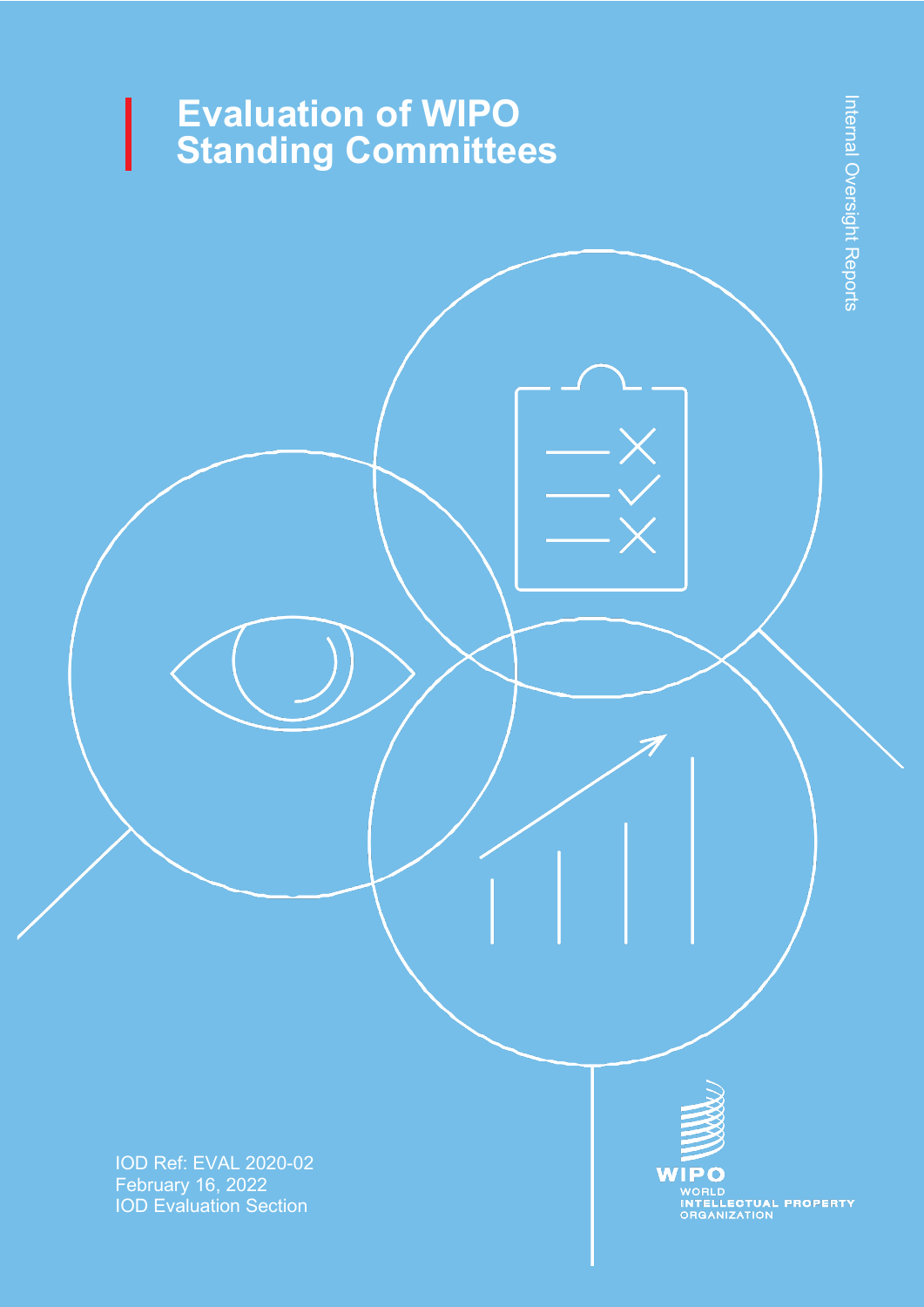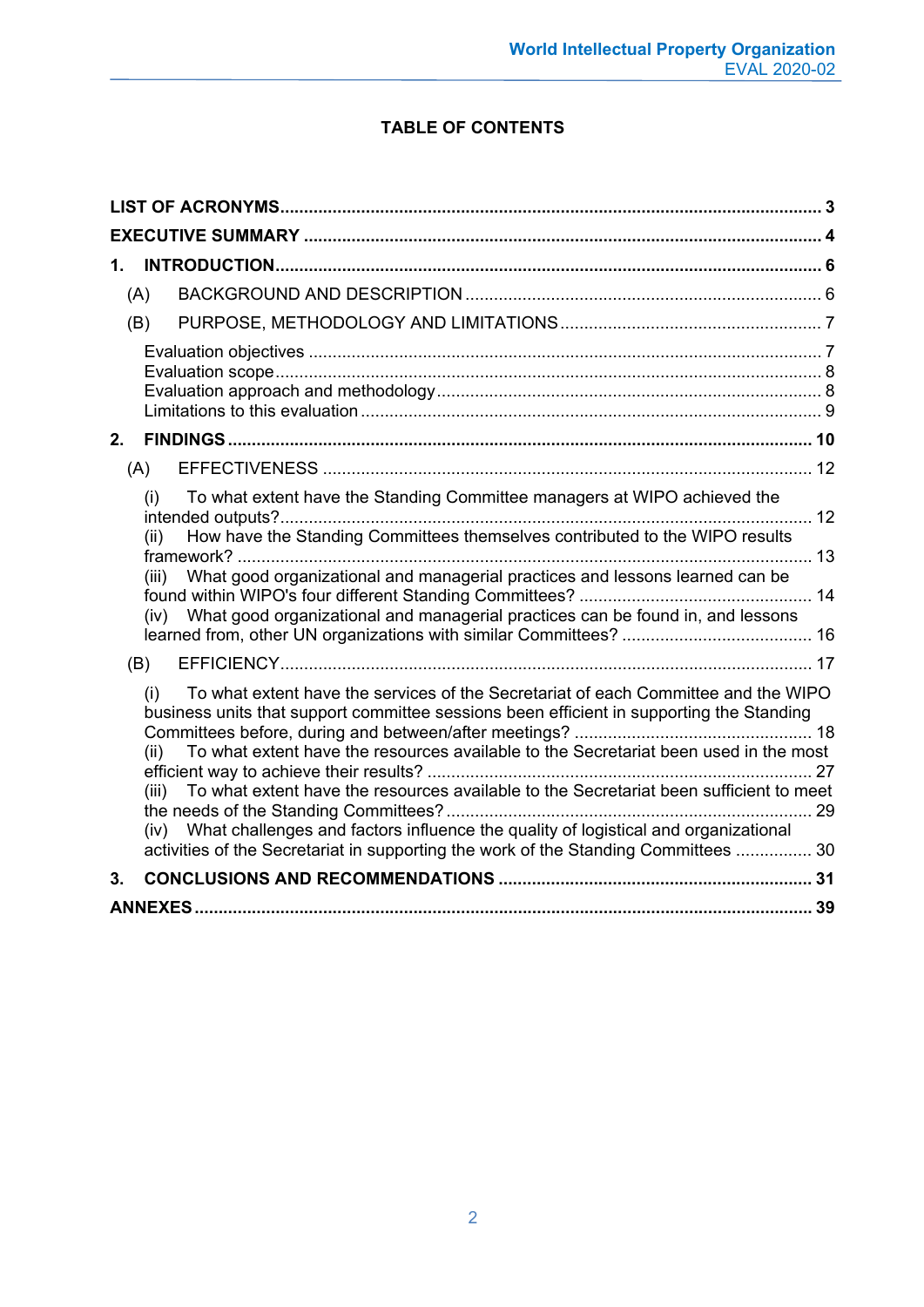## **TABLE OF CONTENTS**

| 1.                                                                                                                                                                                                                                                                                                                                                                |  |
|-------------------------------------------------------------------------------------------------------------------------------------------------------------------------------------------------------------------------------------------------------------------------------------------------------------------------------------------------------------------|--|
| (A)                                                                                                                                                                                                                                                                                                                                                               |  |
| (B)                                                                                                                                                                                                                                                                                                                                                               |  |
|                                                                                                                                                                                                                                                                                                                                                                   |  |
| 2.                                                                                                                                                                                                                                                                                                                                                                |  |
| (A)                                                                                                                                                                                                                                                                                                                                                               |  |
| To what extent have the Standing Committee managers at WIPO achieved the<br>(i)<br>. 12<br>How have the Standing Committees themselves contributed to the WIPO results<br>(ii)<br>What good organizational and managerial practices and lessons learned can be<br>(iii)<br>What good organizational and managerial practices can be found in, and lessons<br>(iv) |  |
|                                                                                                                                                                                                                                                                                                                                                                   |  |
| (B)                                                                                                                                                                                                                                                                                                                                                               |  |
| To what extent have the services of the Secretariat of each Committee and the WIPO<br>(i)<br>business units that support committee sessions been efficient in supporting the Standing<br>To what extent have the resources available to the Secretariat been used in the most<br>(ii)                                                                             |  |
| To what extent have the resources available to the Secretariat been sufficient to meet<br>(iii)<br>What challenges and factors influence the quality of logistical and organizational<br>(iv)<br>activities of the Secretariat in supporting the work of the Standing Committees  30                                                                              |  |
| 3.                                                                                                                                                                                                                                                                                                                                                                |  |
|                                                                                                                                                                                                                                                                                                                                                                   |  |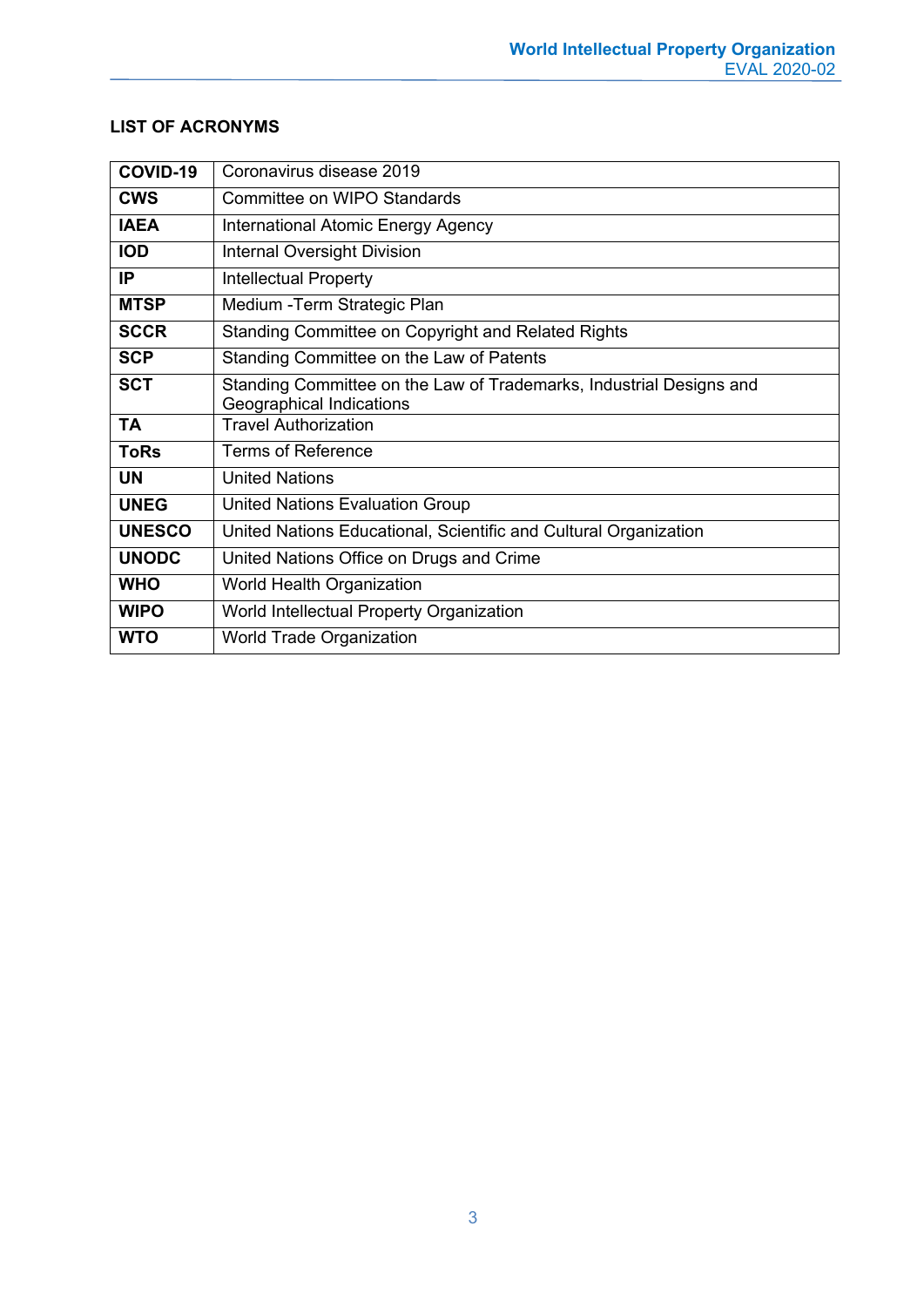| COVID-19      | Coronavirus disease 2019                                                                        |
|---------------|-------------------------------------------------------------------------------------------------|
| <b>CWS</b>    | Committee on WIPO Standards                                                                     |
| <b>IAEA</b>   | <b>International Atomic Energy Agency</b>                                                       |
| <b>IOD</b>    | <b>Internal Oversight Division</b>                                                              |
| IP.           | <b>Intellectual Property</b>                                                                    |
| <b>MTSP</b>   | Medium - Term Strategic Plan                                                                    |
| <b>SCCR</b>   | Standing Committee on Copyright and Related Rights                                              |
| <b>SCP</b>    | Standing Committee on the Law of Patents                                                        |
| <b>SCT</b>    | Standing Committee on the Law of Trademarks, Industrial Designs and<br>Geographical Indications |
| <b>TA</b>     | <b>Travel Authorization</b>                                                                     |
| <b>ToRs</b>   | <b>Terms of Reference</b>                                                                       |
| <b>UN</b>     | <b>United Nations</b>                                                                           |
| <b>UNEG</b>   | <b>United Nations Evaluation Group</b>                                                          |
| <b>UNESCO</b> | United Nations Educational, Scientific and Cultural Organization                                |
| <b>UNODC</b>  | United Nations Office on Drugs and Crime                                                        |
| <b>WHO</b>    | World Health Organization                                                                       |
| <b>WIPO</b>   | World Intellectual Property Organization                                                        |
| <b>WTO</b>    | <b>World Trade Organization</b>                                                                 |

## <span id="page-2-0"></span>**LIST OF ACRONYMS**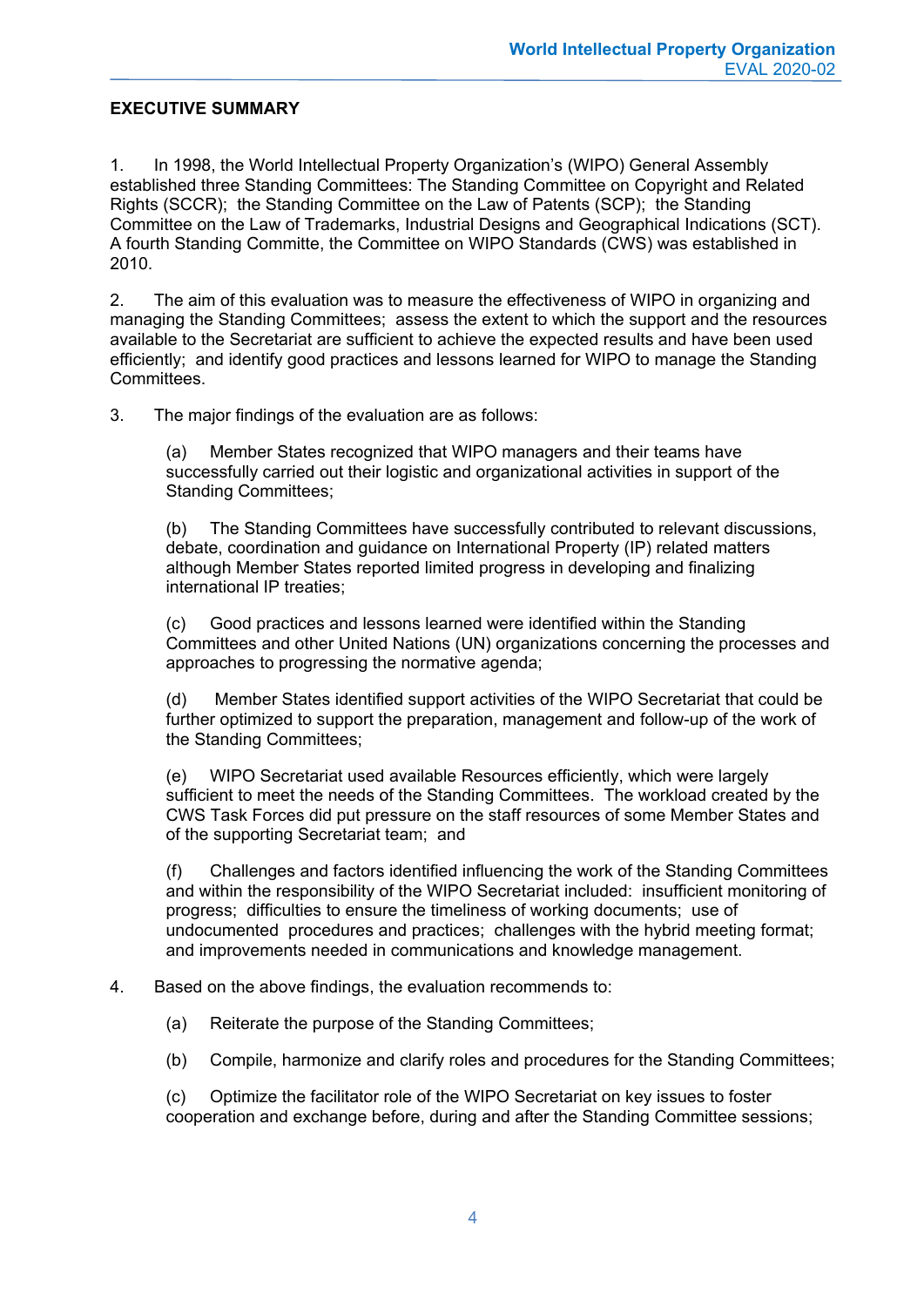## <span id="page-3-0"></span>**EXECUTIVE SUMMARY**

1. In 1998, the World Intellectual Property Organization's (WIPO) General Assembly established three Standing Committees: The Standing Committee on Copyright and Related Rights (SCCR); the Standing Committee on the Law of Patents (SCP); the Standing Committee on the Law of Trademarks, Industrial Designs and Geographical Indications (SCT). A fourth Standing Committe, the Committee on WIPO Standards (CWS) was established in 2010.

2. The aim of this evaluation was to measure the effectiveness of WIPO in organizing and managing the Standing Committees; assess the extent to which the support and the resources available to the Secretariat are sufficient to achieve the expected results and have been used efficiently; and identify good practices and lessons learned for WIPO to manage the Standing Committees.

3. The major findings of the evaluation are as follows:

(a) Member States recognized that WIPO managers and their teams have successfully carried out their logistic and organizational activities in support of the Standing Committees;

(b) The Standing Committees have successfully contributed to relevant discussions, debate, coordination and guidance on International Property (IP) related matters although Member States reported limited progress in developing and finalizing international IP treaties;

(c) Good practices and lessons learned were identified within the Standing Committees and other United Nations (UN) organizations concerning the processes and approaches to progressing the normative agenda;

(d) Member States identified support activities of the WIPO Secretariat that could be further optimized to support the preparation, management and follow-up of the work of the Standing Committees;

(e) WIPO Secretariat used available Resources efficiently, which were largely sufficient to meet the needs of the Standing Committees. The workload created by the CWS Task Forces did put pressure on the staff resources of some Member States and of the supporting Secretariat team; and

(f) Challenges and factors identified influencing the work of the Standing Committees and within the responsibility of the WIPO Secretariat included: insufficient monitoring of progress; difficulties to ensure the timeliness of working documents; use of undocumented procedures and practices; challenges with the hybrid meeting format; and improvements needed in communications and knowledge management.

## 4. Based on the above findings, the evaluation recommends to:

- (a) Reiterate the purpose of the Standing Committees;
- (b) Compile, harmonize and clarify roles and procedures for the Standing Committees;

(c) Optimize the facilitator role of the WIPO Secretariat on key issues to foster cooperation and exchange before, during and after the Standing Committee sessions;